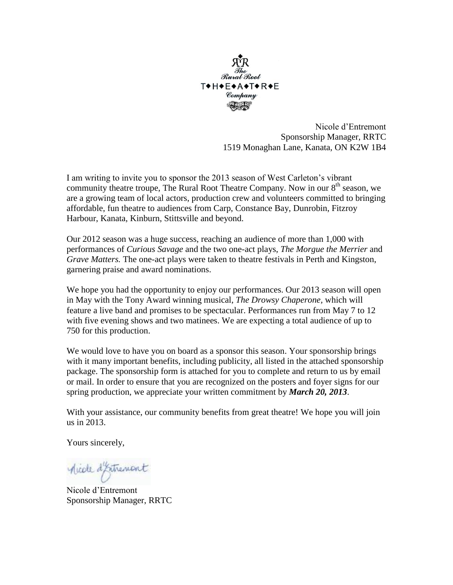

Nicole d'Entremont Sponsorship Manager, RRTC 1519 Monaghan Lane, Kanata, ON K2W 1B4

I am writing to invite you to sponsor the 2013 season of West Carleton's vibrant community theatre troupe, The Rural Root Theatre Company. Now in our  $8<sup>th</sup>$  season, we are a growing team of local actors, production crew and volunteers committed to bringing affordable, fun theatre to audiences from Carp, Constance Bay, Dunrobin, Fitzroy Harbour, Kanata, Kinburn, Stittsville and beyond.

Our 2012 season was a huge success, reaching an audience of more than 1,000 with performances of *Curious Savage* and the two one-act plays, *The Morgue the Merrier* and *Grave Matters.* The one-act plays were taken to theatre festivals in Perth and Kingston, garnering praise and award nominations.

We hope you had the opportunity to enjoy our performances. Our 2013 season will open in May with the Tony Award winning musical, *The Drowsy Chaperone,* which will feature a live band and promises to be spectacular. Performances run from May 7 to 12 with five evening shows and two matinees. We are expecting a total audience of up to 750 for this production.

We would love to have you on board as a sponsor this season. Your sponsorship brings with it many important benefits, including publicity, all listed in the attached sponsorship package. The sponsorship form is attached for you to complete and return to us by email or mail. In order to ensure that you are recognized on the posters and foyer signs for our spring production, we appreciate your written commitment by *March 20, 2013*.

With your assistance, our community benefits from great theatre! We hope you will join us in 2013.

Yours sincerely,

Mide d'Estrement

Nicole d'Entremont Sponsorship Manager, RRTC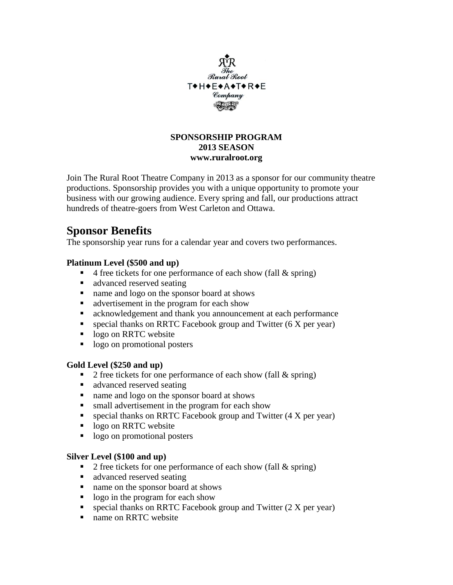

# **SPONSORSHIP PROGRAM 2013 SEASON www.ruralroot.org**

Join The Rural Root Theatre Company in 2013 as a sponsor for our community theatre productions. Sponsorship provides you with a unique opportunity to promote your business with our growing audience. Every spring and fall, our productions attract hundreds of theatre-goers from West Carleton and Ottawa.

# **Sponsor Benefits**

The sponsorship year runs for a calendar year and covers two performances.

# **Platinum Level (\$500 and up)**

- $\blacksquare$  4 free tickets for one performance of each show (fall & spring)
- advanced reserved seating
- name and logo on the sponsor board at shows
- **a** advertisement in the program for each show
- acknowledgement and thank you announcement at each performance
- **special thanks on RRTC Facebook group and Twitter (6 X per year)**
- logo on RRTC website
- logo on promotional posters

# **Gold Level (\$250 and up)**

- 2 free tickets for one performance of each show (fall  $\&$  spring)
- **a** advanced reserved seating
- name and logo on the sponsor board at shows
- **shifted** small advertisement in the program for each show
- **Exercial thanks on RRTC Facebook group and Twitter (4 X per year)**
- logo on RRTC website
- logo on promotional posters

# **Silver Level (\$100 and up)**

- 2 free tickets for one performance of each show (fall  $&$  spring)
- advanced reserved seating
- name on the sponsor board at shows
- logo in the program for each show
- **special thanks on RRTC Facebook group and Twitter (2 X per year)**
- name on RRTC website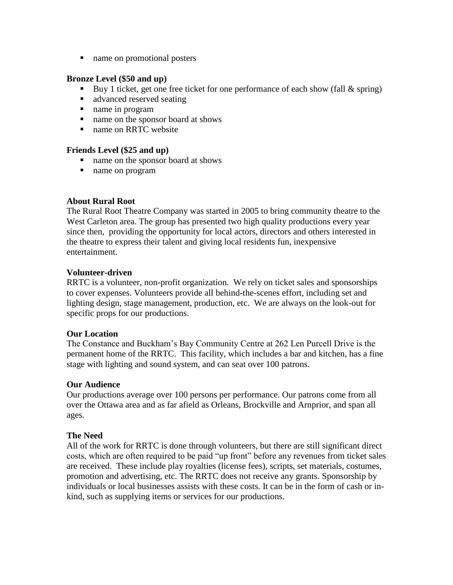name on promotional posters

## **Bronze Level (\$50 and up)**

- Buy 1 ticket, get one free ticket for one performance of each show (fall & spring)
- advanced reserved seating
- name in program
- name on the sponsor board at shows
- name on RRTC website

#### **Friends Level (\$25 and up)**

- name on the sponsor board at shows
- name on program

## **About Rural Root**

The Rural Root Theatre Company was started in 2005 to bring community theatre to the West Carleton area. The group has presented two high quality productions every year since then, providing the opportunity for local actors, directors and others interested in the theatre to express their talent and giving local residents fun, inexpensive entertainment.

## **Volunteer-driven**

RRTC is a volunteer, non-profit organization. We rely on ticket sales and sponsorships to cover expenses. Volunteers provide all behind-the-scenes effort, including set and lighting design, stage management, production, etc. We are always on the look-out for specific props for our productions.

#### **Our Location**

The Constance and Buckham's Bay Community Centre at 262 Len Purcell Drive is the permanent home of the RRTC. This facility, which includes a bar and kitchen, has a fine stage with lighting and sound system, and can seat over 100 patrons.

#### **Our Audience**

Our productions average over 100 persons per performance. Our patrons come from all over the Ottawa area and as far afield as Orleans, Brockville and Arnprior, and span all ages.

# **The Need**

All of the work for RRTC is done through volunteers, but there are still significant direct costs, which are often required to be paid "up front" before any revenues from ticket sales are received. These include play royalties (license fees), scripts, set materials, costumes, promotion and advertising, etc. The RRTC does not receive any grants. Sponsorship by individuals or local businesses assists with these costs. It can be in the form of cash or inkind, such as supplying items or services for our productions.